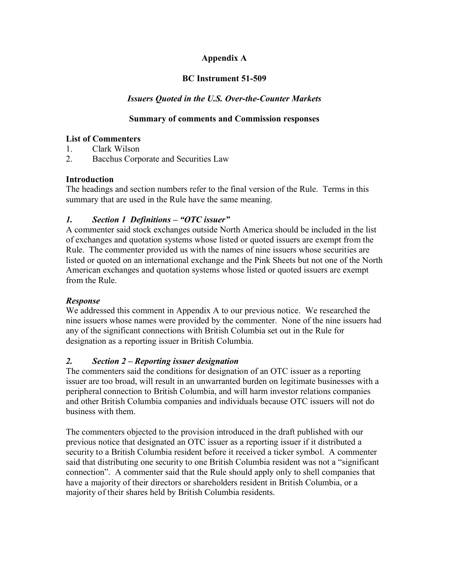# **Appendix A**

## **BC Instrument 51-509**

## *Issuers Quoted in the U.S. Over-the-Counter Markets*

### **Summary of comments and Commission responses**

#### **List of Commenters**

- 1. Clark Wilson
- 2. Bacchus Corporate and Securities Law

#### **Introduction**

The headings and section numbers refer to the final version of the Rule. Terms in this summary that are used in the Rule have the same meaning.

### *1. Section 1 Definitions – "OTC issuer"*

A commenter said stock exchanges outside North America should be included in the list of exchanges and quotation systems whose listed or quoted issuers are exempt from the Rule. The commenter provided us with the names of nine issuers whose securities are listed or quoted on an international exchange and the Pink Sheets but not one of the North American exchanges and quotation systems whose listed or quoted issuers are exempt from the Rule.

#### *Response*

We addressed this comment in Appendix A to our previous notice. We researched the nine issuers whose names were provided by the commenter. None of the nine issuers had any of the significant connections with British Columbia set out in the Rule for designation as a reporting issuer in British Columbia.

# *2. Section 2 – Reporting issuer designation*

The commenters said the conditions for designation of an OTC issuer as a reporting issuer are too broad, will result in an unwarranted burden on legitimate businesses with a peripheral connection to British Columbia, and will harm investor relations companies and other British Columbia companies and individuals because OTC issuers will not do business with them.

The commenters objected to the provision introduced in the draft published with our previous notice that designated an OTC issuer as a reporting issuer if it distributed a security to a British Columbia resident before it received a ticker symbol. A commenter said that distributing one security to one British Columbia resident was not a "significant connection". A commenter said that the Rule should apply only to shell companies that have a majority of their directors or shareholders resident in British Columbia, or a majority of their shares held by British Columbia residents.